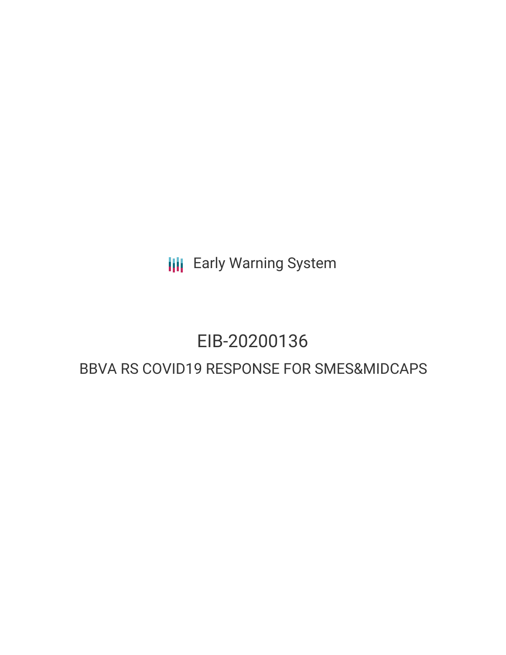**III** Early Warning System

# EIB-20200136

# BBVA RS COVID19 RESPONSE FOR SMES&MIDCAPS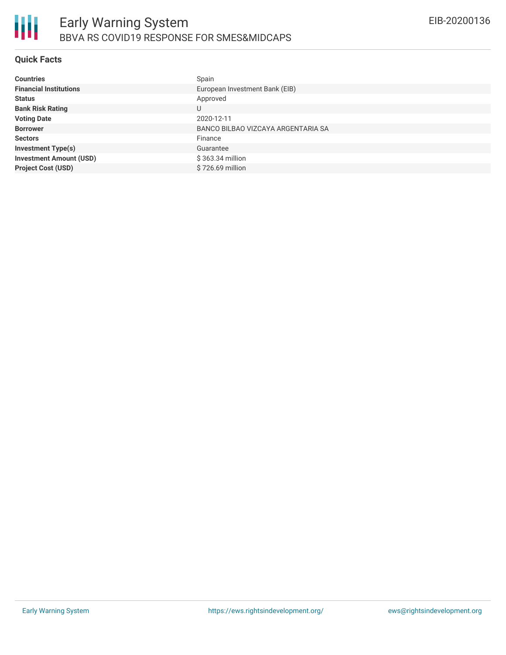

# **Quick Facts**

| <b>Countries</b>               | Spain                              |
|--------------------------------|------------------------------------|
| <b>Financial Institutions</b>  | European Investment Bank (EIB)     |
| <b>Status</b>                  | Approved                           |
| <b>Bank Risk Rating</b>        | U                                  |
| <b>Voting Date</b>             | 2020-12-11                         |
| <b>Borrower</b>                | BANCO BILBAO VIZCAYA ARGENTARIA SA |
| <b>Sectors</b>                 | Finance                            |
| <b>Investment Type(s)</b>      | Guarantee                          |
| <b>Investment Amount (USD)</b> | \$363.34 million                   |
| <b>Project Cost (USD)</b>      | \$726.69 million                   |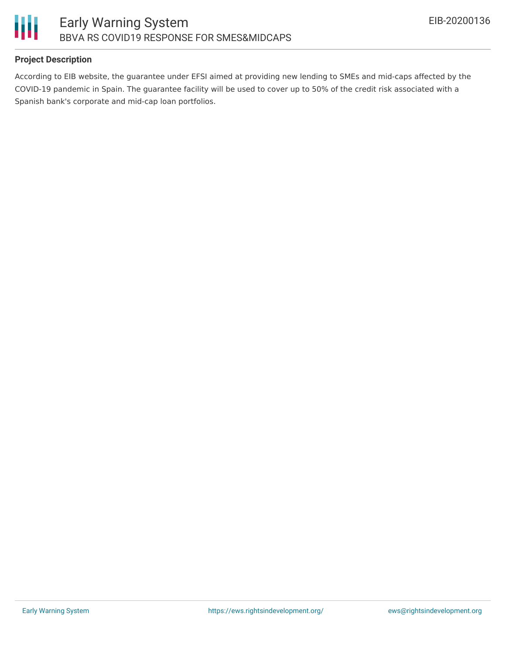

# **Project Description**

According to EIB website, the guarantee under EFSI aimed at providing new lending to SMEs and mid-caps affected by the COVID-19 pandemic in Spain. The guarantee facility will be used to cover up to 50% of the credit risk associated with a Spanish bank's corporate and mid-cap loan portfolios.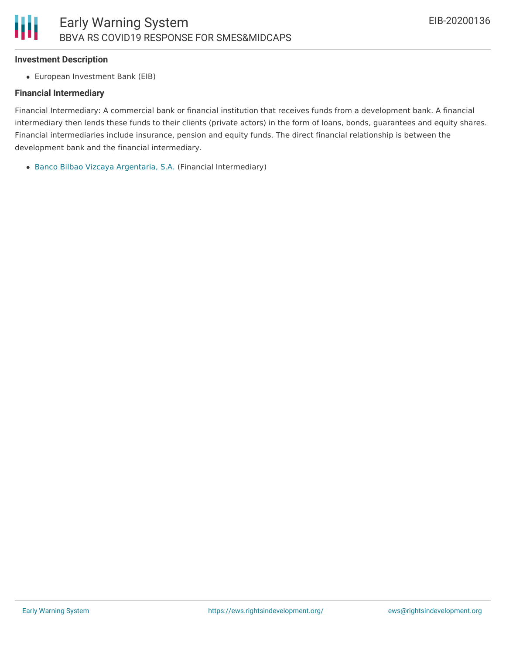#### **Investment Description**

European Investment Bank (EIB)

# **Financial Intermediary**

Financial Intermediary: A commercial bank or financial institution that receives funds from a development bank. A financial intermediary then lends these funds to their clients (private actors) in the form of loans, bonds, guarantees and equity shares. Financial intermediaries include insurance, pension and equity funds. The direct financial relationship is between the development bank and the financial intermediary.

Banco Bilbao Vizcaya [Argentaria,](file:///actor/1096/) S.A. (Financial Intermediary)